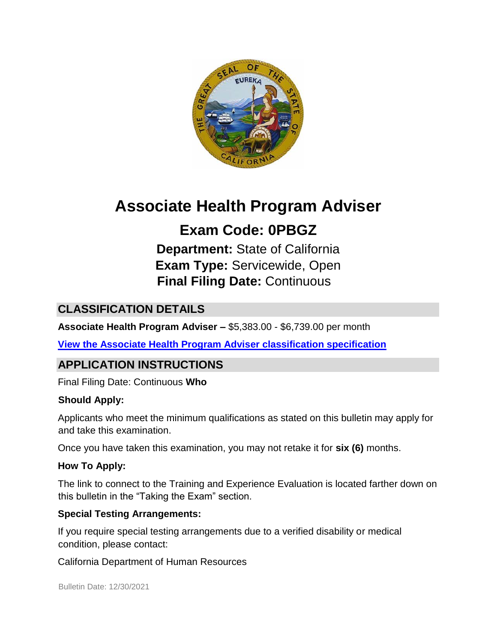

# **Associate Health Program Adviser**

# **Exam Code: 0PBGZ**

**Department:** State of California **Exam Type:** Servicewide, Open **Final Filing Date:** Continuous

# **CLASSIFICATION DETAILS**

**Associate Health Program Adviser –** \$5,383.00 - \$6,739.00 per month

**[View the Associate Health Program Adviser classification specification](https://www.calhr.ca.gov/state-hr-professionals/pages/8337.aspx)**

## **APPLICATION INSTRUCTIONS**

Final Filing Date: Continuous **Who** 

#### **Should Apply:**

Applicants who meet the minimum qualifications as stated on this bulletin may apply for and take this examination.

Once you have taken this examination, you may not retake it for **six (6)** months.

#### **How To Apply:**

The link to connect to the Training and Experience Evaluation is located farther down on this bulletin in the "Taking the Exam" section.

#### **Special Testing Arrangements:**

If you require special testing arrangements due to a verified disability or medical condition, please contact:

California Department of Human Resources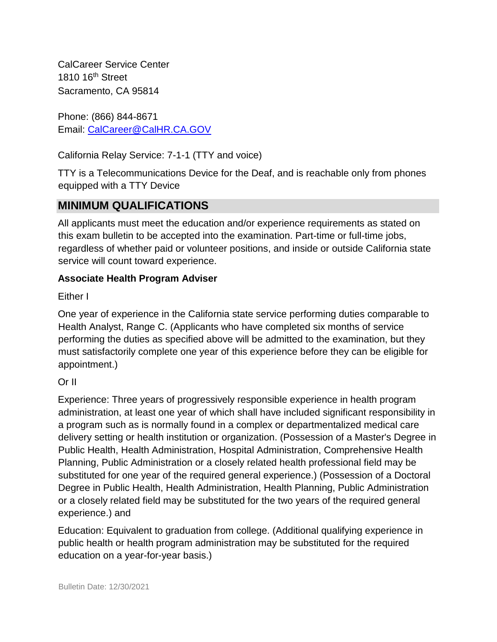CalCareer Service Center 1810 16<sup>th</sup> Street Sacramento, CA 95814

Phone: (866) 844-8671 Email: CalCareer@CalHR.CA.GOV

California Relay Service: 7-1-1 (TTY and voice)

TTY is a Telecommunications Device for the Deaf, and is reachable only from phones equipped with a TTY Device

## **MINIMUM QUALIFICATIONS**

All applicants must meet the education and/or experience requirements as stated on this exam bulletin to be accepted into the examination. Part-time or full-time jobs, regardless of whether paid or volunteer positions, and inside or outside California state service will count toward experience.

#### **Associate Health Program Adviser**

Either I

One year of experience in the California state service performing duties comparable to Health Analyst, Range C. (Applicants who have completed six months of service performing the duties as specified above will be admitted to the examination, but they must satisfactorily complete one year of this experience before they can be eligible for appointment.)

Or II

Experience: Three years of progressively responsible experience in health program administration, at least one year of which shall have included significant responsibility in a program such as is normally found in a complex or departmentalized medical care delivery setting or health institution or organization. (Possession of a Master's Degree in Public Health, Health Administration, Hospital Administration, Comprehensive Health Planning, Public Administration or a closely related health professional field may be substituted for one year of the required general experience.) (Possession of a Doctoral Degree in Public Health, Health Administration, Health Planning, Public Administration or a closely related field may be substituted for the two years of the required general experience.) and

Education: Equivalent to graduation from college. (Additional qualifying experience in public health or health program administration may be substituted for the required education on a year-for-year basis.)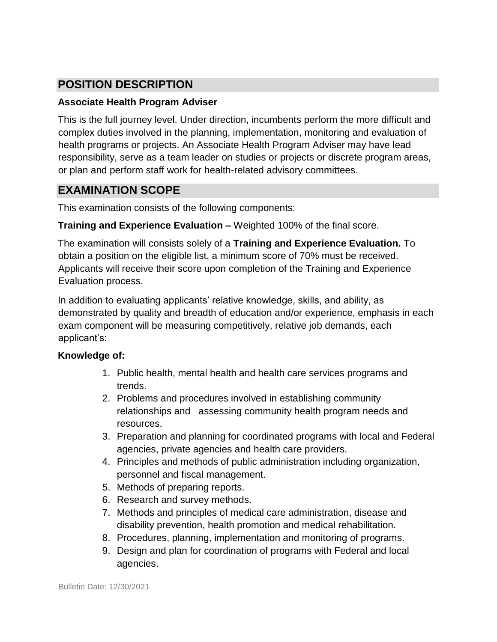# **POSITION DESCRIPTION**

#### **Associate Health Program Adviser**

This is the full journey level. Under direction, incumbents perform the more difficult and complex duties involved in the planning, implementation, monitoring and evaluation of health programs or projects. An Associate Health Program Adviser may have lead responsibility, serve as a team leader on studies or projects or discrete program areas, or plan and perform staff work for health-related advisory committees.

### **EXAMINATION SCOPE**

This examination consists of the following components:

#### **Training and Experience Evaluation –** Weighted 100% of the final score.

The examination will consists solely of a **Training and Experience Evaluation.** To obtain a position on the eligible list, a minimum score of 70% must be received. Applicants will receive their score upon completion of the Training and Experience Evaluation process.

In addition to evaluating applicants' relative knowledge, skills, and ability, as demonstrated by quality and breadth of education and/or experience, emphasis in each exam component will be measuring competitively, relative job demands, each applicant's:

#### **Knowledge of:**

- 1. Public health, mental health and health care services programs and trends.
- 2. Problems and procedures involved in establishing community relationships and assessing community health program needs and resources.
- 3. Preparation and planning for coordinated programs with local and Federal agencies, private agencies and health care providers.
- 4. Principles and methods of public administration including organization, personnel and fiscal management.
- 5. Methods of preparing reports.
- 6. Research and survey methods.
- 7. Methods and principles of medical care administration, disease and disability prevention, health promotion and medical rehabilitation.
- 8. Procedures, planning, implementation and monitoring of programs.
- 9. Design and plan for coordination of programs with Federal and local agencies.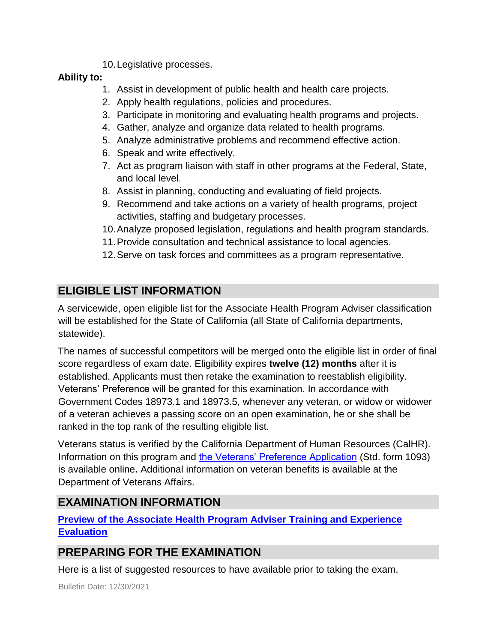10.Legislative processes.

#### **Ability to:**

- 1. Assist in development of public health and health care projects.
- 2. Apply health regulations, policies and procedures.
- 3. Participate in monitoring and evaluating health programs and projects.
- 4. Gather, analyze and organize data related to health programs.
- 5. Analyze administrative problems and recommend effective action.
- 6. Speak and write effectively.
- 7. Act as program liaison with staff in other programs at the Federal, State, and local level.
- 8. Assist in planning, conducting and evaluating of field projects.
- 9. Recommend and take actions on a variety of health programs, project activities, staffing and budgetary processes.
- 10.Analyze proposed legislation, regulations and health program standards.
- 11.Provide consultation and technical assistance to local agencies.
- 12.Serve on task forces and committees as a program representative.

# **ELIGIBLE LIST INFORMATION**

A servicewide, open eligible list for the Associate Health Program Adviser classification will be established for the State of California (all State of California departments, statewide).

The names of successful competitors will be merged onto the eligible list in order of final score regardless of exam date. Eligibility expires **twelve (12) months** after it is established. Applicants must then retake the examination to reestablish eligibility. Veterans' Preference will be granted for this examination. In accordance with Government Codes 18973.1 and 18973.5, whenever any veteran, or widow or widower of a veteran achieves a passing score on an open examination, he or she shall be ranked in the top rank of the resulting eligible list.

Veterans status is verified by the California Department of Human Resources (CalHR). Information on this program and [the Veterans' Preference Application](https://www.jobs.ca.gov/CalHRPublic/Landing/Jobs/VeteransInformation.aspx) [\(](https://www.jobs.ca.gov/CalHRPublic/Landing/Jobs/VeteransInformation.aspx)Std. form 1093) is available online**.** Additional information on veteran benefits is available at the Department of Veterans Affairs.

# **EXAMINATION INFORMATION**

**[Preview](https://jobs.ca.gov/jobsgen/0PBGZa.pdf) [of the](https://jobs.ca.gov/jobsgen/0PBGZa.pdf) [Associate Health Program Adviser](https://jobs.ca.gov/jobsgen/0PBGZa.pdf) [Training and Experience](https://jobs.ca.gov/jobsgen/0PBGZa.pdf) [Evaluation](https://jobs.ca.gov/jobsgen/0PBGZa.pdf)**

# **PREPARING FOR THE EXAMINATION**

Here is a list of suggested resources to have available prior to taking the exam.

Bulletin Date: 12/30/2021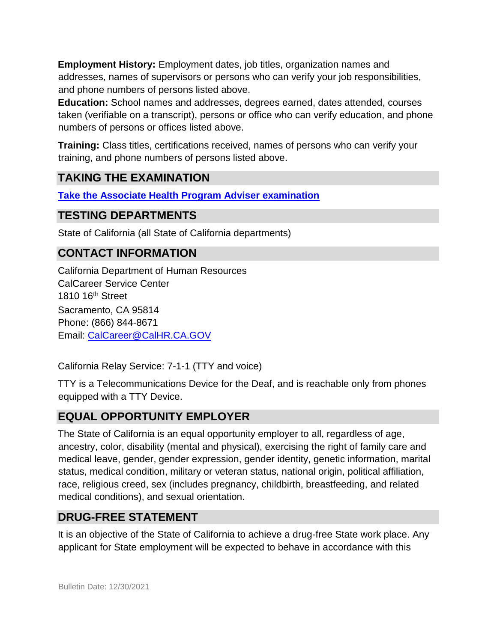**Employment History:** Employment dates, job titles, organization names and addresses, names of supervisors or persons who can verify your job responsibilities, and phone numbers of persons listed above.

**Education:** School names and addresses, degrees earned, dates attended, courses taken (verifiable on a transcript), persons or office who can verify education, and phone numbers of persons or offices listed above.

**Training:** Class titles, certifications received, names of persons who can verify your training, and phone numbers of persons listed above.

## **TAKING THE EXAMINATION**

**[Take the](https://www.jobs.ca.gov/CalHRPublic/Login.aspx?ExamId=0PBGZ) [Associate Health Program Adviser](https://www.jobs.ca.gov/CalHRPublic/Login.aspx?ExamId=0PBGZ) [examination](https://www.jobs.ca.gov/CalHRPublic/Login.aspx?ExamId=0PBGZ)**

#### **TESTING DEPARTMENTS**

State of California (all State of California departments)

#### **CONTACT INFORMATION**

California Department of Human Resources CalCareer Service Center 1810 16th Street Sacramento, CA 95814 Phone: (866) 844-8671 Email: CalCareer@CalHR.CA.GOV

California Relay Service: 7-1-1 (TTY and voice)

TTY is a Telecommunications Device for the Deaf, and is reachable only from phones equipped with a TTY Device.

#### **EQUAL OPPORTUNITY EMPLOYER**

The State of California is an equal opportunity employer to all, regardless of age, ancestry, color, disability (mental and physical), exercising the right of family care and medical leave, gender, gender expression, gender identity, genetic information, marital status, medical condition, military or veteran status, national origin, political affiliation, race, religious creed, sex (includes pregnancy, childbirth, breastfeeding, and related medical conditions), and sexual orientation.

#### **DRUG-FREE STATEMENT**

It is an objective of the State of California to achieve a drug-free State work place. Any applicant for State employment will be expected to behave in accordance with this